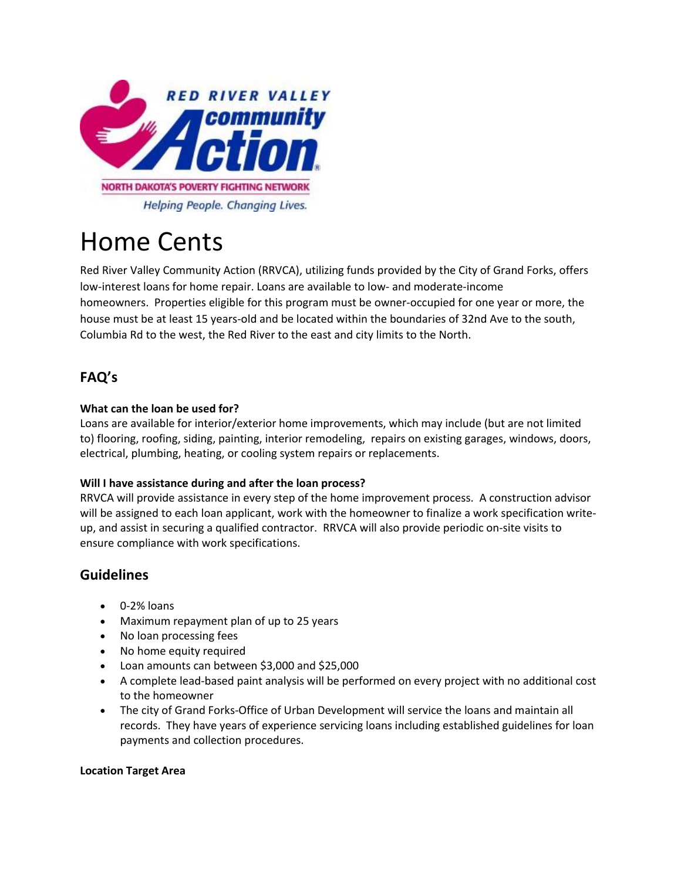

# Home Cents

Red River Valley Community Action (RRVCA), utilizing funds provided by the City of Grand Forks, offers low-interest loans for home repair. Loans are available to low- and moderate-income homeowners. Properties eligible for this program must be owner-occupied for one year or more, the house must be at least 15 years-old and be located within the boundaries of 32nd Ave to the south, Columbia Rd to the west, the Red River to the east and city limits to the North.

## **FAQ's**

#### **What can the loan be used for?**

Loans are available for interior/exterior home improvements, which may include (but are not limited to) flooring, roofing, siding, painting, interior remodeling, repairs on existing garages, windows, doors, electrical, plumbing, heating, or cooling system repairs or replacements.

#### **Will I have assistance during and after the loan process?**

RRVCA will provide assistance in every step of the home improvement process. A construction advisor will be assigned to each loan applicant, work with the homeowner to finalize a work specification writeup, and assist in securing a qualified contractor. RRVCA will also provide periodic on-site visits to ensure compliance with work specifications.

### **Guidelines**

- 0-2% loans
- Maximum repayment plan of up to 25 years
- No loan processing fees
- No home equity required
- Loan amounts can between \$3,000 and \$25,000
- A complete lead-based paint analysis will be performed on every project with no additional cost to the homeowner
- The city of Grand Forks-Office of Urban Development will service the loans and maintain all records. They have years of experience servicing loans including established guidelines for loan payments and collection procedures.

#### **Location Target Area**